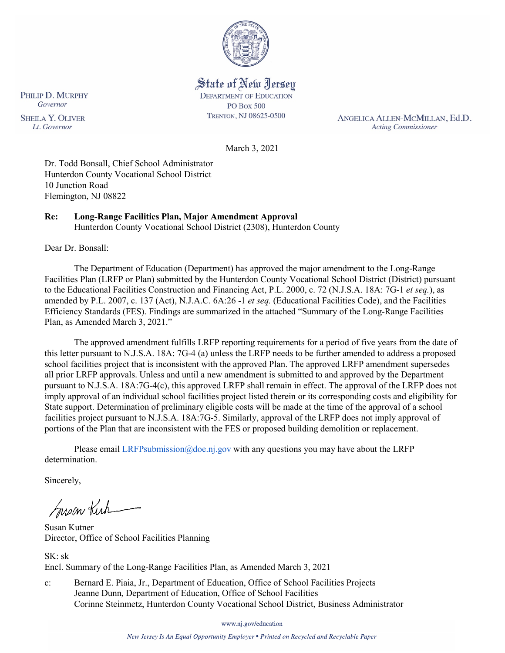

State of New Jersey **DEPARTMENT OF EDUCATION PO Box 500** TRENTON, NJ 08625-0500

ANGELICA ALLEN-MCMILLAN, Ed.D. **Acting Commissioner** 

March 3, 2021

Dr. Todd Bonsall, Chief School Administrator Hunterdon County Vocational School District 10 Junction Road Flemington, NJ 08822

## **Re: Long-Range Facilities Plan, Major Amendment Approval**

Hunterdon County Vocational School District (2308), Hunterdon County

Dear Dr. Bonsall:

The Department of Education (Department) has approved the major amendment to the Long-Range Facilities Plan (LRFP or Plan) submitted by the Hunterdon County Vocational School District (District) pursuant to the Educational Facilities Construction and Financing Act, P.L. 2000, c. 72 (N.J.S.A. 18A: 7G-1 *et seq.*), as amended by P.L. 2007, c. 137 (Act), N.J.A.C. 6A:26 -1 *et seq.* (Educational Facilities Code), and the Facilities Efficiency Standards (FES). Findings are summarized in the attached "Summary of the Long-Range Facilities Plan, as Amended March 3, 2021."

The approved amendment fulfills LRFP reporting requirements for a period of five years from the date of this letter pursuant to N.J.S.A. 18A: 7G-4 (a) unless the LRFP needs to be further amended to address a proposed school facilities project that is inconsistent with the approved Plan. The approved LRFP amendment supersedes all prior LRFP approvals. Unless and until a new amendment is submitted to and approved by the Department pursuant to N.J.S.A. 18A:7G-4(c), this approved LRFP shall remain in effect. The approval of the LRFP does not imply approval of an individual school facilities project listed therein or its corresponding costs and eligibility for State support. Determination of preliminary eligible costs will be made at the time of the approval of a school facilities project pursuant to N.J.S.A. 18A:7G-5. Similarly, approval of the LRFP does not imply approval of portions of the Plan that are inconsistent with the FES or proposed building demolition or replacement.

Please email  $LRFP submission@doe.nj.gov$  with any questions you may have about the LRFP determination.

Sincerely,

Susan Kich

Susan Kutner Director, Office of School Facilities Planning

SK: sk Encl. Summary of the Long-Range Facilities Plan, as Amended March 3, 2021

c: Bernard E. Piaia, Jr., Department of Education, Office of School Facilities Projects Jeanne Dunn, Department of Education, Office of School Facilities Corinne Steinmetz, Hunterdon County Vocational School District, Business Administrator

www.nj.gov/education

New Jersey Is An Equal Opportunity Employer . Printed on Recycled and Recyclable Paper

PHILIP D. MURPHY Governor **SHEILA Y. OLIVER** Lt. Governor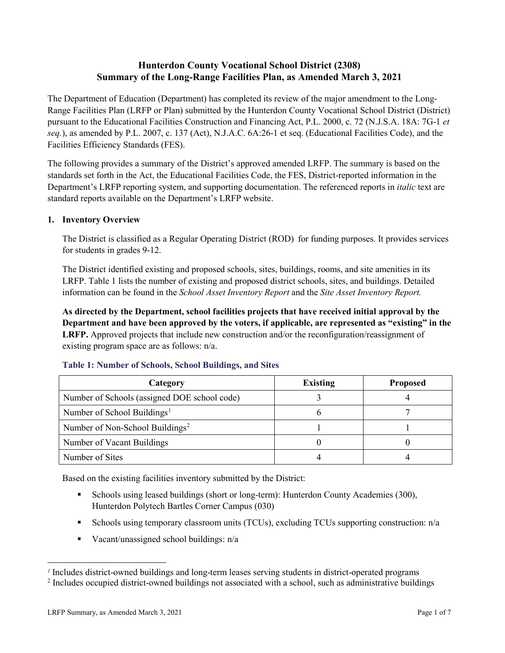# **Hunterdon County Vocational School District (2308) Summary of the Long-Range Facilities Plan, as Amended March 3, 2021**

The Department of Education (Department) has completed its review of the major amendment to the Long-Range Facilities Plan (LRFP or Plan) submitted by the Hunterdon County Vocational School District (District) pursuant to the Educational Facilities Construction and Financing Act, P.L. 2000, c. 72 (N.J.S.A. 18A: 7G-1 *et seq.*), as amended by P.L. 2007, c. 137 (Act), N.J.A.C. 6A:26-1 et seq. (Educational Facilities Code), and the Facilities Efficiency Standards (FES).

The following provides a summary of the District's approved amended LRFP. The summary is based on the standards set forth in the Act, the Educational Facilities Code, the FES, District-reported information in the Department's LRFP reporting system, and supporting documentation. The referenced reports in *italic* text are standard reports available on the Department's LRFP website.

#### **1. Inventory Overview**

The District is classified as a Regular Operating District (ROD) for funding purposes. It provides services for students in grades 9-12.

The District identified existing and proposed schools, sites, buildings, rooms, and site amenities in its LRFP. Table 1 lists the number of existing and proposed district schools, sites, and buildings. Detailed information can be found in the *School Asset Inventory Report* and the *Site Asset Inventory Report.*

**As directed by the Department, school facilities projects that have received initial approval by the Department and have been approved by the voters, if applicable, are represented as "existing" in the LRFP.** Approved projects that include new construction and/or the reconfiguration/reassignment of existing program space are as follows: n/a.

| Category                                     | <b>Existing</b> | <b>Proposed</b> |
|----------------------------------------------|-----------------|-----------------|
| Number of Schools (assigned DOE school code) |                 |                 |
| Number of School Buildings <sup>1</sup>      |                 |                 |
| Number of Non-School Buildings <sup>2</sup>  |                 |                 |
| Number of Vacant Buildings                   |                 |                 |
| Number of Sites                              |                 |                 |

#### **Table 1: Number of Schools, School Buildings, and Sites**

Based on the existing facilities inventory submitted by the District:

- Schools using leased buildings (short or long-term): Hunterdon County Academies (300), Hunterdon Polytech Bartles Corner Campus (030)
- Schools using temporary classroom units (TCUs), excluding TCUs supporting construction:  $n/a$
- Vacant/unassigned school buildings: n/a

 $\overline{a}$ 

<span id="page-1-1"></span><span id="page-1-0"></span>*<sup>1</sup>* Includes district-owned buildings and long-term leases serving students in district-operated programs

<sup>&</sup>lt;sup>2</sup> Includes occupied district-owned buildings not associated with a school, such as administrative buildings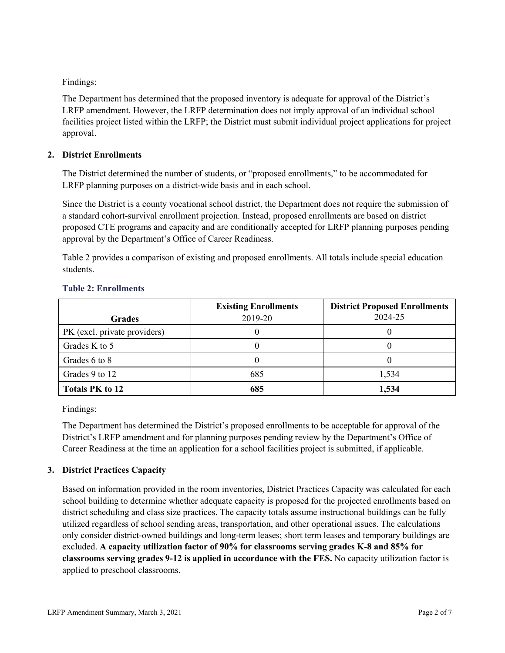Findings:

The Department has determined that the proposed inventory is adequate for approval of the District's LRFP amendment. However, the LRFP determination does not imply approval of an individual school facilities project listed within the LRFP; the District must submit individual project applications for project approval.

## **2. District Enrollments**

The District determined the number of students, or "proposed enrollments," to be accommodated for LRFP planning purposes on a district-wide basis and in each school.

Since the District is a county vocational school district, the Department does not require the submission of a standard cohort-survival enrollment projection. Instead, proposed enrollments are based on district proposed CTE programs and capacity and are conditionally accepted for LRFP planning purposes pending approval by the Department's Office of Career Readiness.

Table 2 provides a comparison of existing and proposed enrollments. All totals include special education students.

| <b>Grades</b>                | <b>Existing Enrollments</b><br>2019-20 | <b>District Proposed Enrollments</b><br>2024-25 |
|------------------------------|----------------------------------------|-------------------------------------------------|
| PK (excl. private providers) |                                        |                                                 |
| Grades K to 5                |                                        |                                                 |
| Grades 6 to 8                |                                        |                                                 |
| Grades 9 to 12               | 685                                    | 1,534                                           |
| <b>Totals PK to 12</b>       | 685                                    | 1,534                                           |

## **Table 2: Enrollments**

Findings:

The Department has determined the District's proposed enrollments to be acceptable for approval of the District's LRFP amendment and for planning purposes pending review by the Department's Office of Career Readiness at the time an application for a school facilities project is submitted, if applicable.

# **3. District Practices Capacity**

Based on information provided in the room inventories, District Practices Capacity was calculated for each school building to determine whether adequate capacity is proposed for the projected enrollments based on district scheduling and class size practices. The capacity totals assume instructional buildings can be fully utilized regardless of school sending areas, transportation, and other operational issues. The calculations only consider district-owned buildings and long-term leases; short term leases and temporary buildings are excluded. **A capacity utilization factor of 90% for classrooms serving grades K-8 and 85% for classrooms serving grades 9-12 is applied in accordance with the FES.** No capacity utilization factor is applied to preschool classrooms.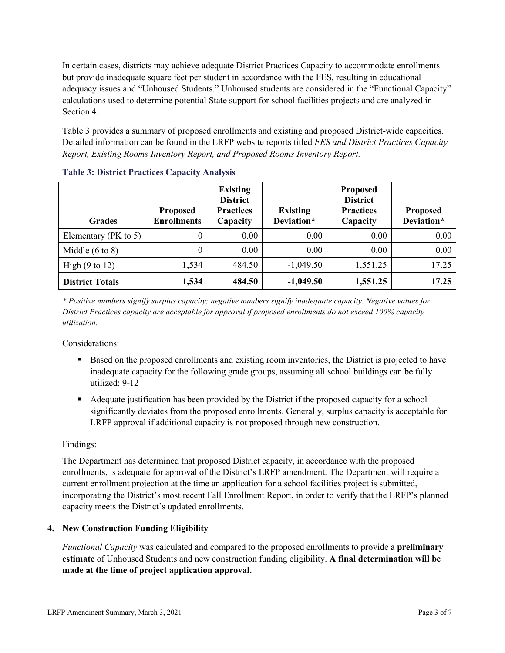In certain cases, districts may achieve adequate District Practices Capacity to accommodate enrollments but provide inadequate square feet per student in accordance with the FES, resulting in educational adequacy issues and "Unhoused Students." Unhoused students are considered in the "Functional Capacity" calculations used to determine potential State support for school facilities projects and are analyzed in Section 4.

Table 3 provides a summary of proposed enrollments and existing and proposed District-wide capacities. Detailed information can be found in the LRFP website reports titled *FES and District Practices Capacity Report, Existing Rooms Inventory Report, and Proposed Rooms Inventory Report.*

| <b>Grades</b>              | <b>Proposed</b><br><b>Enrollments</b> | <b>Existing</b><br><b>District</b><br><b>Practices</b><br>Capacity | <b>Existing</b><br>Deviation* | <b>Proposed</b><br><b>District</b><br><b>Practices</b><br>Capacity | <b>Proposed</b><br>Deviation* |
|----------------------------|---------------------------------------|--------------------------------------------------------------------|-------------------------------|--------------------------------------------------------------------|-------------------------------|
| Elementary ( $PK$ to 5)    | 0                                     | 0.00                                                               | 0.00                          | 0.00                                                               | 0.00                          |
| Middle $(6 \text{ to } 8)$ | 0                                     | 0.00                                                               | 0.00                          | 0.00                                                               | 0.00                          |
| High $(9 \text{ to } 12)$  | 1,534                                 | 484.50                                                             | $-1,049.50$                   | 1,551.25                                                           | 17.25                         |
| <b>District Totals</b>     | 1,534                                 | 484.50                                                             | $-1,049.50$                   | 1,551.25                                                           | 17.25                         |

**Table 3: District Practices Capacity Analysis**

*\* Positive numbers signify surplus capacity; negative numbers signify inadequate capacity. Negative values for District Practices capacity are acceptable for approval if proposed enrollments do not exceed 100% capacity utilization.*

Considerations:

- Based on the proposed enrollments and existing room inventories, the District is projected to have inadequate capacity for the following grade groups, assuming all school buildings can be fully utilized: 9-12
- Adequate justification has been provided by the District if the proposed capacity for a school significantly deviates from the proposed enrollments. Generally, surplus capacity is acceptable for LRFP approval if additional capacity is not proposed through new construction.

### Findings:

The Department has determined that proposed District capacity, in accordance with the proposed enrollments, is adequate for approval of the District's LRFP amendment. The Department will require a current enrollment projection at the time an application for a school facilities project is submitted, incorporating the District's most recent Fall Enrollment Report, in order to verify that the LRFP's planned capacity meets the District's updated enrollments.

### **4. New Construction Funding Eligibility**

*Functional Capacity* was calculated and compared to the proposed enrollments to provide a **preliminary estimate** of Unhoused Students and new construction funding eligibility. **A final determination will be made at the time of project application approval.**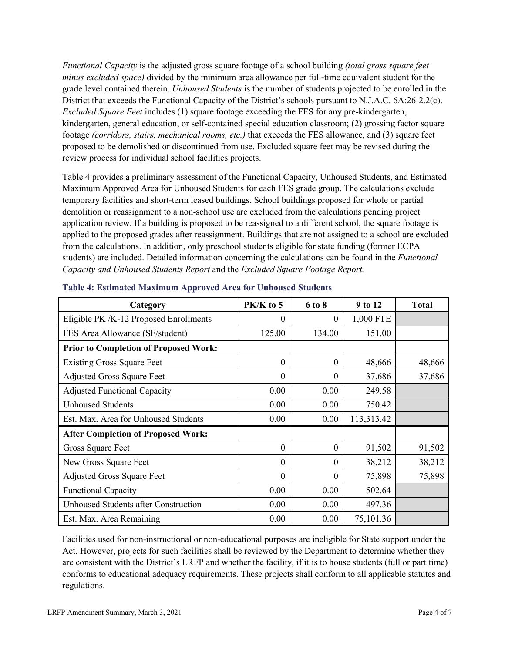*Functional Capacity* is the adjusted gross square footage of a school building *(total gross square feet minus excluded space)* divided by the minimum area allowance per full-time equivalent student for the grade level contained therein. *Unhoused Students* is the number of students projected to be enrolled in the District that exceeds the Functional Capacity of the District's schools pursuant to N.J.A.C. 6A:26-2.2(c). *Excluded Square Feet* includes (1) square footage exceeding the FES for any pre-kindergarten, kindergarten, general education, or self-contained special education classroom; (2) grossing factor square footage *(corridors, stairs, mechanical rooms, etc.)* that exceeds the FES allowance, and (3) square feet proposed to be demolished or discontinued from use. Excluded square feet may be revised during the review process for individual school facilities projects.

Table 4 provides a preliminary assessment of the Functional Capacity, Unhoused Students, and Estimated Maximum Approved Area for Unhoused Students for each FES grade group. The calculations exclude temporary facilities and short-term leased buildings. School buildings proposed for whole or partial demolition or reassignment to a non-school use are excluded from the calculations pending project application review. If a building is proposed to be reassigned to a different school, the square footage is applied to the proposed grades after reassignment. Buildings that are not assigned to a school are excluded from the calculations. In addition, only preschool students eligible for state funding (former ECPA students) are included. Detailed information concerning the calculations can be found in the *Functional Capacity and Unhoused Students Report* and the *Excluded Square Footage Report.*

| Category                                     | PK/K to 5 | 6 to 8   | 9 to 12    | <b>Total</b> |
|----------------------------------------------|-----------|----------|------------|--------------|
| Eligible PK /K-12 Proposed Enrollments       | $\theta$  | $\theta$ | 1,000 FTE  |              |
| FES Area Allowance (SF/student)              | 125.00    | 134.00   | 151.00     |              |
| <b>Prior to Completion of Proposed Work:</b> |           |          |            |              |
| <b>Existing Gross Square Feet</b>            | $\theta$  | $\theta$ | 48,666     | 48,666       |
| <b>Adjusted Gross Square Feet</b>            | $\theta$  | $\theta$ | 37,686     | 37,686       |
| <b>Adjusted Functional Capacity</b>          | 0.00      | 0.00     | 249.58     |              |
| <b>Unhoused Students</b>                     | 0.00      | 0.00     | 750.42     |              |
| Est. Max. Area for Unhoused Students         | 0.00      | 0.00     | 113,313.42 |              |
| <b>After Completion of Proposed Work:</b>    |           |          |            |              |
| Gross Square Feet                            | $\theta$  | 0        | 91,502     | 91,502       |
| New Gross Square Feet                        | $\theta$  | $\theta$ | 38,212     | 38,212       |
| <b>Adjusted Gross Square Feet</b>            | $\Omega$  | $\Omega$ | 75,898     | 75,898       |
| <b>Functional Capacity</b>                   | 0.00      | 0.00     | 502.64     |              |
| Unhoused Students after Construction         | 0.00      | 0.00     | 497.36     |              |
| Est. Max. Area Remaining                     | 0.00      | 0.00     | 75,101.36  |              |

| <b>Table 4: Estimated Maximum Approved Area for Unhoused Students</b> |  |
|-----------------------------------------------------------------------|--|
|                                                                       |  |

Facilities used for non-instructional or non-educational purposes are ineligible for State support under the Act. However, projects for such facilities shall be reviewed by the Department to determine whether they are consistent with the District's LRFP and whether the facility, if it is to house students (full or part time) conforms to educational adequacy requirements. These projects shall conform to all applicable statutes and regulations.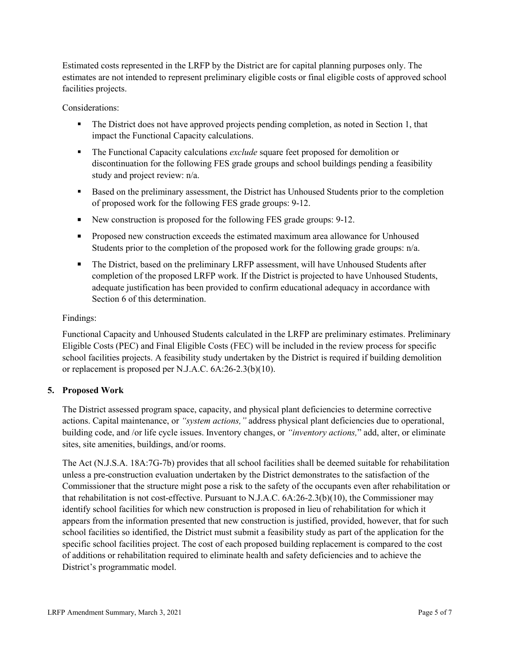Estimated costs represented in the LRFP by the District are for capital planning purposes only. The estimates are not intended to represent preliminary eligible costs or final eligible costs of approved school facilities projects.

Considerations:

- The District does not have approved projects pending completion, as noted in Section 1, that impact the Functional Capacity calculations.
- The Functional Capacity calculations *exclude* square feet proposed for demolition or discontinuation for the following FES grade groups and school buildings pending a feasibility study and project review: n/a.
- Based on the preliminary assessment, the District has Unhoused Students prior to the completion of proposed work for the following FES grade groups: 9-12.
- New construction is proposed for the following FES grade groups: 9-12.
- Proposed new construction exceeds the estimated maximum area allowance for Unhoused Students prior to the completion of the proposed work for the following grade groups: n/a.
- The District, based on the preliminary LRFP assessment, will have Unhoused Students after completion of the proposed LRFP work. If the District is projected to have Unhoused Students, adequate justification has been provided to confirm educational adequacy in accordance with Section 6 of this determination.

### Findings:

Functional Capacity and Unhoused Students calculated in the LRFP are preliminary estimates. Preliminary Eligible Costs (PEC) and Final Eligible Costs (FEC) will be included in the review process for specific school facilities projects. A feasibility study undertaken by the District is required if building demolition or replacement is proposed per N.J.A.C. 6A:26-2.3(b)(10).

### **5. Proposed Work**

The District assessed program space, capacity, and physical plant deficiencies to determine corrective actions. Capital maintenance, or *"system actions,"* address physical plant deficiencies due to operational, building code, and /or life cycle issues. Inventory changes, or *"inventory actions,*" add, alter, or eliminate sites, site amenities, buildings, and/or rooms.

The Act (N.J.S.A. 18A:7G-7b) provides that all school facilities shall be deemed suitable for rehabilitation unless a pre-construction evaluation undertaken by the District demonstrates to the satisfaction of the Commissioner that the structure might pose a risk to the safety of the occupants even after rehabilitation or that rehabilitation is not cost-effective. Pursuant to N.J.A.C. 6A:26-2.3(b)(10), the Commissioner may identify school facilities for which new construction is proposed in lieu of rehabilitation for which it appears from the information presented that new construction is justified, provided, however, that for such school facilities so identified, the District must submit a feasibility study as part of the application for the specific school facilities project. The cost of each proposed building replacement is compared to the cost of additions or rehabilitation required to eliminate health and safety deficiencies and to achieve the District's programmatic model.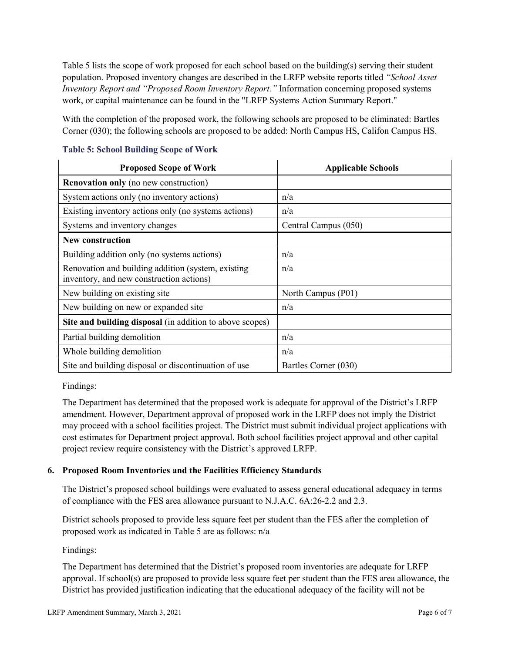Table 5 lists the scope of work proposed for each school based on the building(s) serving their student population. Proposed inventory changes are described in the LRFP website reports titled *"School Asset Inventory Report and "Proposed Room Inventory Report."* Information concerning proposed systems work, or capital maintenance can be found in the "LRFP Systems Action Summary Report."

With the completion of the proposed work, the following schools are proposed to be eliminated: Bartles Corner (030); the following schools are proposed to be added: North Campus HS, Califon Campus HS.

| <b>Proposed Scope of Work</b>                                                                  | <b>Applicable Schools</b> |
|------------------------------------------------------------------------------------------------|---------------------------|
| <b>Renovation only</b> (no new construction)                                                   |                           |
| System actions only (no inventory actions)                                                     | n/a                       |
| Existing inventory actions only (no systems actions)                                           | n/a                       |
| Systems and inventory changes                                                                  | Central Campus (050)      |
| <b>New construction</b>                                                                        |                           |
| Building addition only (no systems actions)                                                    | n/a                       |
| Renovation and building addition (system, existing<br>inventory, and new construction actions) | n/a                       |
| New building on existing site                                                                  | North Campus (P01)        |
| New building on new or expanded site                                                           | n/a                       |
| Site and building disposal (in addition to above scopes)                                       |                           |
| Partial building demolition                                                                    | n/a                       |
| Whole building demolition                                                                      | n/a                       |
| Site and building disposal or discontinuation of use                                           | Bartles Corner (030)      |

### **Table 5: School Building Scope of Work**

Findings:

The Department has determined that the proposed work is adequate for approval of the District's LRFP amendment. However, Department approval of proposed work in the LRFP does not imply the District may proceed with a school facilities project. The District must submit individual project applications with cost estimates for Department project approval. Both school facilities project approval and other capital project review require consistency with the District's approved LRFP.

### **6. Proposed Room Inventories and the Facilities Efficiency Standards**

The District's proposed school buildings were evaluated to assess general educational adequacy in terms of compliance with the FES area allowance pursuant to N.J.A.C. 6A:26-2.2 and 2.3.

District schools proposed to provide less square feet per student than the FES after the completion of proposed work as indicated in Table 5 are as follows: n/a

Findings:

The Department has determined that the District's proposed room inventories are adequate for LRFP approval. If school(s) are proposed to provide less square feet per student than the FES area allowance, the District has provided justification indicating that the educational adequacy of the facility will not be